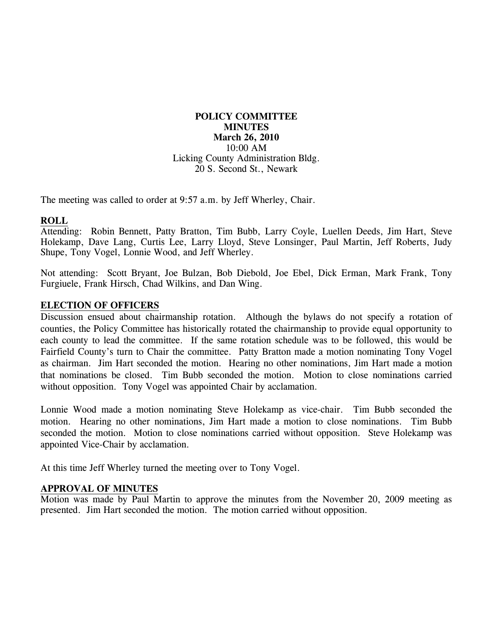# **POLICY COMMITTEE MINUTES March 26, 2010**  10:00 AM Licking County Administration Bldg. 20 S. Second St., Newark

The meeting was called to order at 9:57 a.m. by Jeff Wherley, Chair.

# **ROLL**

Attending: Robin Bennett, Patty Bratton, Tim Bubb, Larry Coyle, Luellen Deeds, Jim Hart, Steve Holekamp, Dave Lang, Curtis Lee, Larry Lloyd, Steve Lonsinger, Paul Martin, Jeff Roberts, Judy Shupe, Tony Vogel, Lonnie Wood, and Jeff Wherley.

Not attending: Scott Bryant, Joe Bulzan, Bob Diebold, Joe Ebel, Dick Erman, Mark Frank, Tony Furgiuele, Frank Hirsch, Chad Wilkins, and Dan Wing.

# **ELECTION OF OFFICERS**

Discussion ensued about chairmanship rotation. Although the bylaws do not specify a rotation of counties, the Policy Committee has historically rotated the chairmanship to provide equal opportunity to each county to lead the committee. If the same rotation schedule was to be followed, this would be Fairfield County's turn to Chair the committee. Patty Bratton made a motion nominating Tony Vogel as chairman. Jim Hart seconded the motion. Hearing no other nominations, Jim Hart made a motion that nominations be closed. Tim Bubb seconded the motion. Motion to close nominations carried without opposition. Tony Vogel was appointed Chair by acclamation.

Lonnie Wood made a motion nominating Steve Holekamp as vice-chair. Tim Bubb seconded the motion. Hearing no other nominations, Jim Hart made a motion to close nominations. Tim Bubb seconded the motion. Motion to close nominations carried without opposition. Steve Holekamp was appointed Vice-Chair by acclamation.

At this time Jeff Wherley turned the meeting over to Tony Vogel.

# **APPROVAL OF MINUTES**

Motion was made by Paul Martin to approve the minutes from the November 20, 2009 meeting as presented. Jim Hart seconded the motion. The motion carried without opposition.